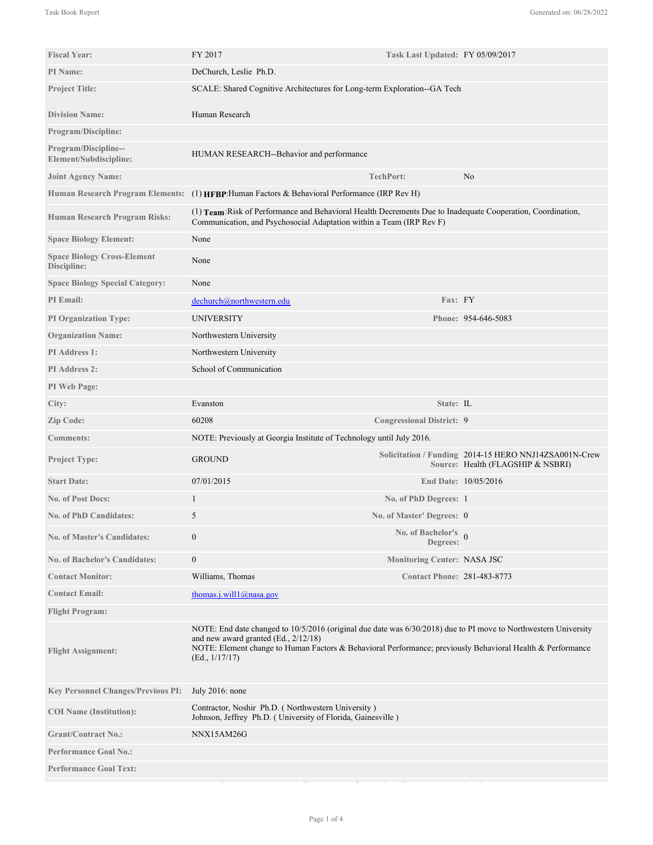| <b>Fiscal Year:</b>                               | FY 2017                                                                                                                                                                                                                                                                                   | Task Last Updated: FY 05/09/2017       |                                                                                            |
|---------------------------------------------------|-------------------------------------------------------------------------------------------------------------------------------------------------------------------------------------------------------------------------------------------------------------------------------------------|----------------------------------------|--------------------------------------------------------------------------------------------|
| PI Name:                                          | DeChurch, Leslie Ph.D.                                                                                                                                                                                                                                                                    |                                        |                                                                                            |
| <b>Project Title:</b>                             | SCALE: Shared Cognitive Architectures for Long-term Exploration--GA Tech                                                                                                                                                                                                                  |                                        |                                                                                            |
| <b>Division Name:</b>                             | Human Research                                                                                                                                                                                                                                                                            |                                        |                                                                                            |
| <b>Program/Discipline:</b>                        |                                                                                                                                                                                                                                                                                           |                                        |                                                                                            |
| Program/Discipline--<br>Element/Subdiscipline:    | HUMAN RESEARCH--Behavior and performance                                                                                                                                                                                                                                                  |                                        |                                                                                            |
| <b>Joint Agency Name:</b>                         |                                                                                                                                                                                                                                                                                           | TechPort:                              | No                                                                                         |
|                                                   | Human Research Program Elements: (1) HFBP: Human Factors & Behavioral Performance (IRP Rev H)                                                                                                                                                                                             |                                        |                                                                                            |
| <b>Human Research Program Risks:</b>              | (1) Team: Risk of Performance and Behavioral Health Decrements Due to Inadequate Cooperation, Coordination,<br>Communication, and Psychosocial Adaptation within a Team (IRP Rev F)                                                                                                       |                                        |                                                                                            |
| <b>Space Biology Element:</b>                     | None                                                                                                                                                                                                                                                                                      |                                        |                                                                                            |
| <b>Space Biology Cross-Element</b><br>Discipline: | None                                                                                                                                                                                                                                                                                      |                                        |                                                                                            |
| <b>Space Biology Special Category:</b>            | None                                                                                                                                                                                                                                                                                      |                                        |                                                                                            |
| <b>PI</b> Email:                                  | dechurch@northwestern.edu                                                                                                                                                                                                                                                                 | Fax: FY                                |                                                                                            |
| <b>PI Organization Type:</b>                      | UNIVERSITY                                                                                                                                                                                                                                                                                |                                        | Phone: 954-646-5083                                                                        |
| <b>Organization Name:</b>                         | Northwestern University                                                                                                                                                                                                                                                                   |                                        |                                                                                            |
| <b>PI</b> Address 1:                              | Northwestern University                                                                                                                                                                                                                                                                   |                                        |                                                                                            |
| <b>PI Address 2:</b>                              | School of Communication                                                                                                                                                                                                                                                                   |                                        |                                                                                            |
| PI Web Page:                                      |                                                                                                                                                                                                                                                                                           |                                        |                                                                                            |
| City:                                             | Evanston                                                                                                                                                                                                                                                                                  | State: IL                              |                                                                                            |
| Zip Code:                                         | 60208                                                                                                                                                                                                                                                                                     | <b>Congressional District: 9</b>       |                                                                                            |
| <b>Comments:</b>                                  | NOTE: Previously at Georgia Institute of Technology until July 2016.                                                                                                                                                                                                                      |                                        |                                                                                            |
| <b>Project Type:</b>                              | <b>GROUND</b>                                                                                                                                                                                                                                                                             |                                        | Solicitation / Funding 2014-15 HERO NNJ14ZSA001N-Crew<br>Source: Health (FLAGSHIP & NSBRI) |
| <b>Start Date:</b>                                | 07/01/2015                                                                                                                                                                                                                                                                                |                                        | End Date: 10/05/2016                                                                       |
| <b>No. of Post Docs:</b>                          | 1                                                                                                                                                                                                                                                                                         | No. of PhD Degrees: 1                  |                                                                                            |
| <b>No. of PhD Candidates:</b>                     | 5                                                                                                                                                                                                                                                                                         | No. of Master' Degrees: 0              |                                                                                            |
| <b>No. of Master's Candidates:</b>                | $\mathbf{0}$                                                                                                                                                                                                                                                                              | No. of Bachelor's $\theta$<br>Degrees: |                                                                                            |
| <b>No. of Bachelor's Candidates:</b>              | $\boldsymbol{0}$                                                                                                                                                                                                                                                                          | <b>Monitoring Center: NASA JSC</b>     |                                                                                            |
| <b>Contact Monitor:</b>                           | Williams, Thomas                                                                                                                                                                                                                                                                          | <b>Contact Phone: 281-483-8773</b>     |                                                                                            |
| <b>Contact Email:</b>                             | thomas.j.will1@nasa.gov                                                                                                                                                                                                                                                                   |                                        |                                                                                            |
| <b>Flight Program:</b>                            |                                                                                                                                                                                                                                                                                           |                                        |                                                                                            |
| <b>Flight Assignment:</b>                         | NOTE: End date changed to 10/5/2016 (original due date was 6/30/2018) due to PI move to Northwestern University<br>and new award granted $(Ed., 2/12/18)$<br>NOTE: Element change to Human Factors & Behavioral Performance; previously Behavioral Health & Performance<br>(Ed., 1/17/17) |                                        |                                                                                            |
| <b>Key Personnel Changes/Previous PI:</b>         | July 2016: none                                                                                                                                                                                                                                                                           |                                        |                                                                                            |
| <b>COI</b> Name (Institution):                    | Contractor, Noshir Ph.D. (Northwestern University)<br>Johnson, Jeffrey Ph.D. (University of Florida, Gainesville)                                                                                                                                                                         |                                        |                                                                                            |
| <b>Grant/Contract No.:</b>                        | NNX15AM26G                                                                                                                                                                                                                                                                                |                                        |                                                                                            |
| <b>Performance Goal No.:</b>                      |                                                                                                                                                                                                                                                                                           |                                        |                                                                                            |
| <b>Performance Goal Text:</b>                     |                                                                                                                                                                                                                                                                                           |                                        |                                                                                            |

Among the remarkable team challenges NASA faces in long distance space exploration (LDSE) missions is the need to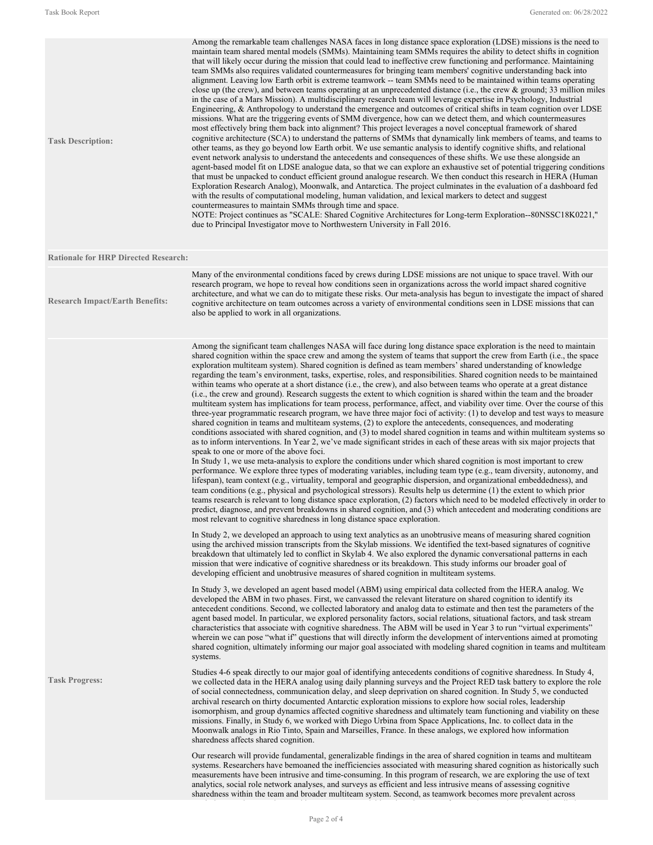| <b>Task Description:</b>                    | Among the remarkable team challenges NASA faces in long distance space exploration (LDSE) missions is the need to<br>maintain team shared mental models (SMMs). Maintaining team SMMs requires the ability to detect shifts in cognition<br>that will likely occur during the mission that could lead to ineffective crew functioning and performance. Maintaining<br>team SMMs also requires validated countermeasures for bringing team members' cognitive understanding back into<br>alignment. Leaving low Earth orbit is extreme teamwork -- team SMMs need to be maintained within teams operating<br>close up (the crew), and between teams operating at an unprecedented distance (i.e., the crew $\&$ ground; 33 million miles<br>in the case of a Mars Mission). A multidisciplinary research team will leverage expertise in Psychology, Industrial<br>Engineering, & Anthropology to understand the emergence and outcomes of critical shifts in team cognition over LDSE<br>missions. What are the triggering events of SMM divergence, how can we detect them, and which countermeasures<br>most effectively bring them back into alignment? This project leverages a novel conceptual framework of shared<br>cognitive architecture (SCA) to understand the patterns of SMMs that dynamically link members of teams, and teams to<br>other teams, as they go beyond low Earth orbit. We use semantic analysis to identify cognitive shifts, and relational<br>event network analysis to understand the antecedents and consequences of these shifts. We use these alongside an<br>agent-based model fit on LDSE analogue data, so that we can explore an exhaustive set of potential triggering conditions<br>that must be unpacked to conduct efficient ground analogue research. We then conduct this research in HERA (Human<br>Exploration Research Analog), Moonwalk, and Antarctica. The project culminates in the evaluation of a dashboard fed<br>with the results of computational modeling, human validation, and lexical markers to detect and suggest<br>countermeasures to maintain SMMs through time and space.<br>NOTE: Project continues as "SCALE: Shared Cognitive Architectures for Long-term Exploration--80NSSC18K0221,"<br>due to Principal Investigator move to Northwestern University in Fall 2016. |
|---------------------------------------------|---------------------------------------------------------------------------------------------------------------------------------------------------------------------------------------------------------------------------------------------------------------------------------------------------------------------------------------------------------------------------------------------------------------------------------------------------------------------------------------------------------------------------------------------------------------------------------------------------------------------------------------------------------------------------------------------------------------------------------------------------------------------------------------------------------------------------------------------------------------------------------------------------------------------------------------------------------------------------------------------------------------------------------------------------------------------------------------------------------------------------------------------------------------------------------------------------------------------------------------------------------------------------------------------------------------------------------------------------------------------------------------------------------------------------------------------------------------------------------------------------------------------------------------------------------------------------------------------------------------------------------------------------------------------------------------------------------------------------------------------------------------------------------------------------------------------------------------------------------------------------------------------------------------------------------------------------------------------------------------------------------------------------------------------------------------------------------------------------------------------------------------------------------------------------------------------------------------------------------------------------------------------------------------------------------------------------------------------|
| <b>Rationale for HRP Directed Research:</b> |                                                                                                                                                                                                                                                                                                                                                                                                                                                                                                                                                                                                                                                                                                                                                                                                                                                                                                                                                                                                                                                                                                                                                                                                                                                                                                                                                                                                                                                                                                                                                                                                                                                                                                                                                                                                                                                                                                                                                                                                                                                                                                                                                                                                                                                                                                                                             |
| <b>Research Impact/Earth Benefits:</b>      | Many of the environmental conditions faced by crews during LDSE missions are not unique to space travel. With our<br>research program, we hope to reveal how conditions seen in organizations across the world impact shared cognitive<br>architecture, and what we can do to mitigate these risks. Our meta-analysis has begun to investigate the impact of shared<br>cognitive architecture on team outcomes across a variety of environmental conditions seen in LDSE missions that can<br>also be applied to work in all organizations.                                                                                                                                                                                                                                                                                                                                                                                                                                                                                                                                                                                                                                                                                                                                                                                                                                                                                                                                                                                                                                                                                                                                                                                                                                                                                                                                                                                                                                                                                                                                                                                                                                                                                                                                                                                                 |
|                                             | Among the significant team challenges NASA will face during long distance space exploration is the need to maintain<br>shared cognition within the space crew and among the system of teams that support the crew from Earth (i.e., the space<br>exploration multiteam system). Shared cognition is defined as team members' shared understanding of knowledge<br>regarding the team's environment, tasks, expertise, roles, and responsibilities. Shared cognition needs to be maintained<br>within teams who operate at a short distance (i.e., the crew), and also between teams who operate at a great distance<br>(i.e., the crew and ground). Research suggests the extent to which cognition is shared within the team and the broader<br>multiteam system has implications for team process, performance, affect, and viability over time. Over the course of this<br>three-year programmatic research program, we have three major foci of activity: (1) to develop and test ways to measure<br>shared cognition in teams and multiteam systems, (2) to explore the antecedents, consequences, and moderating<br>conditions associated with shared cognition, and (3) to model shared cognition in teams and within multiteam systems so<br>as to inform interventions. In Year 2, we've made significant strides in each of these areas with six major projects that<br>speak to one or more of the above foci.<br>In Study 1, we use meta-analysis to explore the conditions under which shared cognition is most important to crew<br>performance. We explore three types of moderating variables, including team type (e.g., team diversity, autonomy, and<br>lifespan), team context (e.g., virtuality, temporal and geographic dispersion, and organizational embeddedness), and<br>team conditions (e.g., physical and psychological stressors). Results help us determine (1) the extent to which prior<br>teams research is relevant to long distance space exploration, (2) factors which need to be modeled effectively in order to<br>predict, diagnose, and prevent breakdowns in shared cognition, and (3) which antecedent and moderating conditions are<br>most relevant to cognitive sharedness in long distance space exploration.                                                                               |
|                                             | In Study 2, we developed an approach to using text analytics as an unobitusive means of measuring shared cognition<br>using the archived mission transcripts from the Skylab missions. We identified the text-based signatures of cognitive<br>breakdown that ultimately led to conflict in Skylab 4. We also explored the dynamic conversational patterns in each<br>mission that were indicative of cognitive sharedness or its breakdown. This study informs our broader goal of<br>developing efficient and unobtrusive measures of shared cognition in multiteam systems.                                                                                                                                                                                                                                                                                                                                                                                                                                                                                                                                                                                                                                                                                                                                                                                                                                                                                                                                                                                                                                                                                                                                                                                                                                                                                                                                                                                                                                                                                                                                                                                                                                                                                                                                                              |
|                                             | In Study 3, we developed an agent based model (ABM) using empirical data collected from the HERA analog. We<br>developed the ABM in two phases. First, we canvassed the relevant literature on shared cognition to identify its<br>antecedent conditions. Second, we collected laboratory and analog data to estimate and then test the parameters of the<br>agent based model. In particular, we explored personality factors, social relations, situational factors, and task stream<br>characteristics that associate with cognitive sharedness. The ABM will be used in Year 3 to run "virtual experiments"<br>wherein we can pose "what if" questions that will directly inform the development of interventions aimed at promoting<br>shared cognition, ultimately informing our major goal associated with modeling shared cognition in teams and multiteam<br>systems.                                                                                                                                                                                                                                                                                                                                                                                                                                                                                                                                                                                                                                                                                                                                                                                                                                                                                                                                                                                                                                                                                                                                                                                                                                                                                                                                                                                                                                                              |
| <b>Task Progress:</b>                       | Studies 4-6 speak directly to our major goal of identifying antecedents conditions of cognitive sharedness. In Study 4,<br>we collected data in the HERA analog using daily planning surveys and the Project RED task battery to explore the role<br>of social connectedness, communication delay, and sleep deprivation on shared cognition. In Study 5, we conducted<br>archival research on thirty documented Antarctic exploration missions to explore how social roles, leadership<br>isomorphism, and group dynamics affected cognitive sharedness and ultimately team functioning and viability on these<br>missions. Finally, in Study 6, we worked with Diego Urbina from Space Applications, Inc. to collect data in the<br>Moonwalk analogs in Rio Tinto, Spain and Marseilles, France. In these analogs, we explored how information<br>sharedness affects shared cognition.                                                                                                                                                                                                                                                                                                                                                                                                                                                                                                                                                                                                                                                                                                                                                                                                                                                                                                                                                                                                                                                                                                                                                                                                                                                                                                                                                                                                                                                    |
|                                             | Our research will provide fundamental, generalizable findings in the area of shared cognition in teams and multiteam<br>systems. Researchers have bemoaned the inefficiencies associated with measuring shared cognition as historically such<br>measurements have been intrusive and time-consuming. In this program of research, we are exploring the use of text<br>analytics, social role network analyses, and surveys as efficient and less intrusive means of assessing cognitive<br>sharedness within the team and broader multiteam system. Second, as teamwork becomes more prevalent across                                                                                                                                                                                                                                                                                                                                                                                                                                                                                                                                                                                                                                                                                                                                                                                                                                                                                                                                                                                                                                                                                                                                                                                                                                                                                                                                                                                                                                                                                                                                                                                                                                                                                                                                      |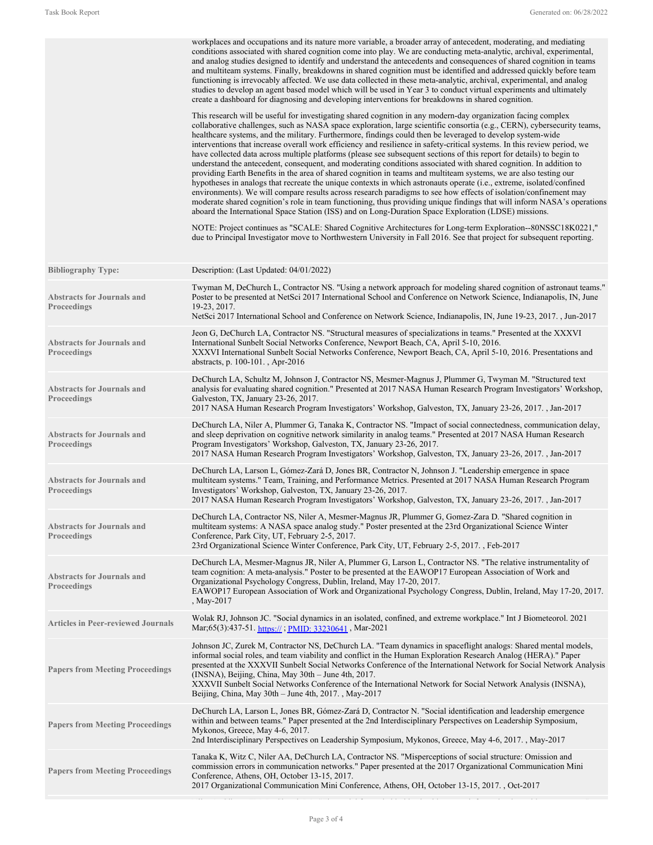|                                                         | workplaces and occupations and its nature more variable, a broader array of antecedent, moderating, and mediating<br>conditions associated with shared cognition come into play. We are conducting meta-analytic, archival, experimental,<br>and analog studies designed to identify and understand the antecedents and consequences of shared cognition in teams<br>and multiteam systems. Finally, breakdowns in shared cognition must be identified and addressed quickly before team<br>functioning is irrevocably affected. We use data collected in these meta-analytic, archival, experimental, and analog<br>studies to develop an agent based model which will be used in Year 3 to conduct virtual experiments and ultimately<br>create a dashboard for diagnosing and developing interventions for breakdowns in shared cognition.                                                                                                                                                                                                                                                                                                                                                                                                                                                                                        |
|---------------------------------------------------------|--------------------------------------------------------------------------------------------------------------------------------------------------------------------------------------------------------------------------------------------------------------------------------------------------------------------------------------------------------------------------------------------------------------------------------------------------------------------------------------------------------------------------------------------------------------------------------------------------------------------------------------------------------------------------------------------------------------------------------------------------------------------------------------------------------------------------------------------------------------------------------------------------------------------------------------------------------------------------------------------------------------------------------------------------------------------------------------------------------------------------------------------------------------------------------------------------------------------------------------------------------------------------------------------------------------------------------------|
|                                                         | This research will be useful for investigating shared cognition in any modern-day organization facing complex<br>collaborative challenges, such as NASA space exploration, large scientific consortia (e.g., CERN), cybersecurity teams,<br>healthcare systems, and the military. Furthermore, findings could then be leveraged to develop system-wide<br>interventions that increase overall work efficiency and resilience in safety-critical systems. In this review period, we<br>have collected data across multiple platforms (please see subsequent sections of this report for details) to begin to<br>understand the antecedent, consequent, and moderating conditions associated with shared cognition. In addition to<br>providing Earth Benefits in the area of shared cognition in teams and multiteam systems, we are also testing our<br>hypotheses in analogs that recreate the unique contexts in which astronauts operate (i.e., extreme, isolated/confined<br>environments). We will compare results across research paradigms to see how effects of isolation/confinement may<br>moderate shared cognition's role in team functioning, thus providing unique findings that will inform NASA's operations<br>aboard the International Space Station (ISS) and on Long-Duration Space Exploration (LDSE) missions. |
|                                                         | NOTE: Project continues as "SCALE: Shared Cognitive Architectures for Long-term Exploration--80NSSC18K0221,"<br>due to Principal Investigator move to Northwestern University in Fall 2016. See that project for subsequent reporting.                                                                                                                                                                                                                                                                                                                                                                                                                                                                                                                                                                                                                                                                                                                                                                                                                                                                                                                                                                                                                                                                                               |
| <b>Bibliography Type:</b>                               | Description: (Last Updated: 04/01/2022)                                                                                                                                                                                                                                                                                                                                                                                                                                                                                                                                                                                                                                                                                                                                                                                                                                                                                                                                                                                                                                                                                                                                                                                                                                                                                              |
| <b>Abstracts for Journals and</b><br><b>Proceedings</b> | Twyman M, DeChurch L, Contractor NS. "Using a network approach for modeling shared cognition of astronaut teams."<br>Poster to be presented at NetSci 2017 International School and Conference on Network Science, Indianapolis, IN, June<br>19-23, 2017.                                                                                                                                                                                                                                                                                                                                                                                                                                                                                                                                                                                                                                                                                                                                                                                                                                                                                                                                                                                                                                                                            |
|                                                         | NetSci 2017 International School and Conference on Network Science, Indianapolis, IN, June 19-23, 2017., Jun-2017                                                                                                                                                                                                                                                                                                                                                                                                                                                                                                                                                                                                                                                                                                                                                                                                                                                                                                                                                                                                                                                                                                                                                                                                                    |
| <b>Abstracts for Journals and</b><br><b>Proceedings</b> | Jeon G, DeChurch LA, Contractor NS. "Structural measures of specializations in teams." Presented at the XXXVI<br>International Sunbelt Social Networks Conference, Newport Beach, CA, April 5-10, 2016.<br>XXXVI International Sunbelt Social Networks Conference, Newport Beach, CA, April 5-10, 2016. Presentations and<br>abstracts, p. 100-101., Apr-2016                                                                                                                                                                                                                                                                                                                                                                                                                                                                                                                                                                                                                                                                                                                                                                                                                                                                                                                                                                        |
| <b>Abstracts for Journals and</b><br><b>Proceedings</b> | DeChurch LA, Schultz M, Johnson J, Contractor NS, Mesmer-Magnus J, Plummer G, Twyman M. "Structured text<br>analysis for evaluating shared cognition." Presented at 2017 NASA Human Research Program Investigators' Workshop,<br>Galveston, TX, January 23-26, 2017.<br>2017 NASA Human Research Program Investigators' Workshop, Galveston, TX, January 23-26, 2017., Jan-2017                                                                                                                                                                                                                                                                                                                                                                                                                                                                                                                                                                                                                                                                                                                                                                                                                                                                                                                                                      |
| <b>Abstracts for Journals and</b><br><b>Proceedings</b> | DeChurch LA, Niler A, Plummer G, Tanaka K, Contractor NS. "Impact of social connectedness, communication delay,<br>and sleep deprivation on cognitive network similarity in analog teams." Presented at 2017 NASA Human Research<br>Program Investigators' Workshop, Galveston, TX, January 23-26, 2017.<br>2017 NASA Human Research Program Investigators' Workshop, Galveston, TX, January 23-26, 2017., Jan-2017                                                                                                                                                                                                                                                                                                                                                                                                                                                                                                                                                                                                                                                                                                                                                                                                                                                                                                                  |
| <b>Abstracts for Journals and</b><br><b>Proceedings</b> | DeChurch LA, Larson L, Gómez-Zará D, Jones BR, Contractor N, Johnson J. "Leadership emergence in space<br>multiteam systems." Team, Training, and Performance Metrics. Presented at 2017 NASA Human Research Program<br>Investigators' Workshop, Galveston, TX, January 23-26, 2017.<br>2017 NASA Human Research Program Investigators' Workshop, Galveston, TX, January 23-26, 2017., Jan-2017                                                                                                                                                                                                                                                                                                                                                                                                                                                                                                                                                                                                                                                                                                                                                                                                                                                                                                                                      |
| <b>Abstracts for Journals and</b><br><b>Proceedings</b> | DeChurch LA, Contractor NS, Niler A, Mesmer-Magnus JR, Plummer G, Gomez-Zara D. "Shared cognition in<br>multiteam systems: A NASA space analog study." Poster presented at the 23rd Organizational Science Winter<br>Conference, Park City, UT, February 2-5, 2017.<br>23rd Organizational Science Winter Conference, Park City, UT, February 2-5, 2017., Feb-2017                                                                                                                                                                                                                                                                                                                                                                                                                                                                                                                                                                                                                                                                                                                                                                                                                                                                                                                                                                   |
| <b>Abstracts for Journals and</b><br>Proceedings        | DeChurch LA, Mesmer-Magnus JR, Niler A, Plummer G, Larson L, Contractor NS. "The relative instrumentality of<br>team cognition: A meta-analysis." Poster to be presented at the EAWOP17 European Association of Work and<br>Organizational Psychology Congress, Dublin, Ireland, May 17-20, 2017.<br>EAWOP17 European Association of Work and Organizational Psychology Congress, Dublin, Ireland, May 17-20, 2017.<br>, May-2017                                                                                                                                                                                                                                                                                                                                                                                                                                                                                                                                                                                                                                                                                                                                                                                                                                                                                                    |
| <b>Articles in Peer-reviewed Journals</b>               | Wolak RJ, Johnson JC. "Social dynamics in an isolated, confined, and extreme workplace." Int J Biometeorol. 2021<br>Mar;65(3):437-51. https://; PMID: 33230641, Mar-2021                                                                                                                                                                                                                                                                                                                                                                                                                                                                                                                                                                                                                                                                                                                                                                                                                                                                                                                                                                                                                                                                                                                                                             |
| <b>Papers from Meeting Proceedings</b>                  | Johnson JC, Zurek M, Contractor NS, DeChurch LA. "Team dynamics in spaceflight analogs: Shared mental models,<br>informal social roles, and team viability and conflict in the Human Exploration Research Analog (HERA)." Paper<br>presented at the XXXVII Sunbelt Social Networks Conference of the International Network for Social Network Analysis<br>(INSNA), Beijing, China, May 30th – June 4th, 2017.<br>XXXVII Sunbelt Social Networks Conference of the International Network for Social Network Analysis (INSNA),<br>Beijing, China, May 30th – June 4th, 2017., May-2017                                                                                                                                                                                                                                                                                                                                                                                                                                                                                                                                                                                                                                                                                                                                                 |
| <b>Papers from Meeting Proceedings</b>                  | DeChurch LA, Larson L, Jones BR, Gómez-Zará D, Contractor N. "Social identification and leadership emergence<br>within and between teams." Paper presented at the 2nd Interdisciplinary Perspectives on Leadership Symposium,<br>Mykonos, Greece, May 4-6, 2017.<br>2nd Interdisciplinary Perspectives on Leadership Symposium, Mykonos, Greece, May 4-6, 2017., May-2017                                                                                                                                                                                                                                                                                                                                                                                                                                                                                                                                                                                                                                                                                                                                                                                                                                                                                                                                                            |
| <b>Papers from Meeting Proceedings</b>                  | Tanaka K, Witz C, Niler AA, DeChurch LA, Contractor NS. "Misperceptions of social structure: Omission and<br>commission errors in communication networks." Paper presented at the 2017 Organizational Communication Mini<br>Conference, Athens, OH, October 13-15, 2017.<br>2017 Organizational Communication Mini Conference, Athens, OH, October 13-15, 2017., Oct-2017                                                                                                                                                                                                                                                                                                                                                                                                                                                                                                                                                                                                                                                                                                                                                                                                                                                                                                                                                            |